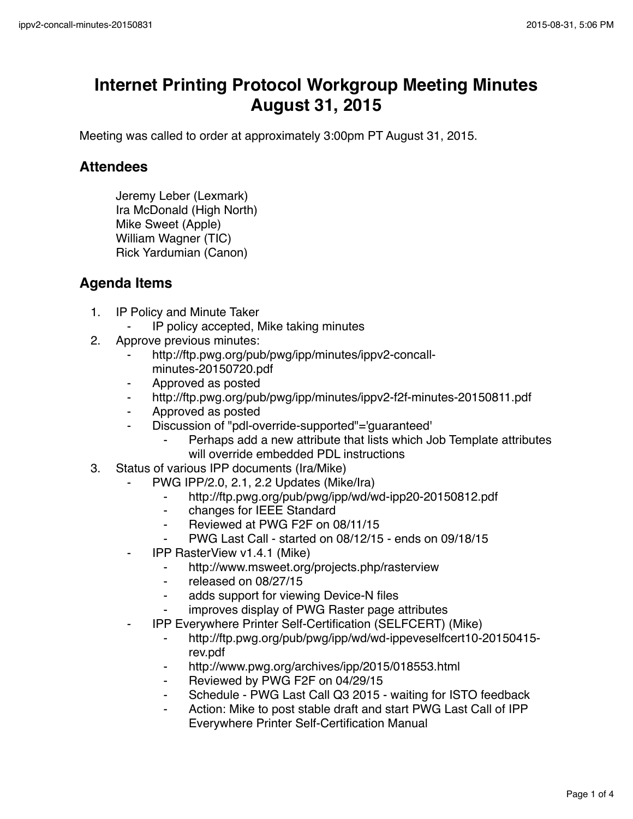## **Internet Printing Protocol Workgroup Meeting Minutes August 31, 2015**

Meeting was called to order at approximately 3:00pm PT August 31, 2015.

## **Attendees**

Jeremy Leber (Lexmark) Ira McDonald (High North) Mike Sweet (Apple) William Wagner (TIC) Rick Yardumian (Canon)

## **Agenda Items**

- 1. IP Policy and Minute Taker
	- IP policy accepted, Mike taking minutes
- 2. Approve previous minutes:
	- http://ftp.pwg.org/pub/pwg/ipp/minutes/ippv2-concallminutes-20150720.pdf
	- ⁃ Approved as posted
	- ⁃ http://ftp.pwg.org/pub/pwg/ipp/minutes/ippv2-f2f-minutes-20150811.pdf
	- ⁃ Approved as posted
	- Discussion of "pdl-override-supported"='guaranteed'
		- Perhaps add a new attribute that lists which Job Template attributes will override embedded PDL instructions
- 3. Status of various IPP documents (Ira/Mike)
	- ⁃ PWG IPP/2.0, 2.1, 2.2 Updates (Mike/Ira)
		- ⁃ http://ftp.pwg.org/pub/pwg/ipp/wd/wd-ipp20-20150812.pdf
		- ⁃ changes for IEEE Standard
		- ⁃ Reviewed at PWG F2F on 08/11/15
		- ⁃ PWG Last Call started on 08/12/15 ends on 09/18/15
	- ⁃ IPP RasterView v1.4.1 (Mike)
		- http://www.msweet.org/projects.php/rasterview
		- ⁃ released on 08/27/15
		- ⁃ adds support for viewing Device-N files
		- improves display of PWG Raster page attributes
	- ⁃ IPP Everywhere Printer Self-Certification (SELFCERT) (Mike)
		- ⁃ http://ftp.pwg.org/pub/pwg/ipp/wd/wd-ippeveselfcert10-20150415 rev.pdf
		- http://www.pwg.org/archives/ipp/2015/018553.html
		- Reviewed by PWG F2F on 04/29/15
		- Schedule PWG Last Call Q3 2015 waiting for ISTO feedback
		- Action: Mike to post stable draft and start PWG Last Call of IPP Everywhere Printer Self-Certification Manual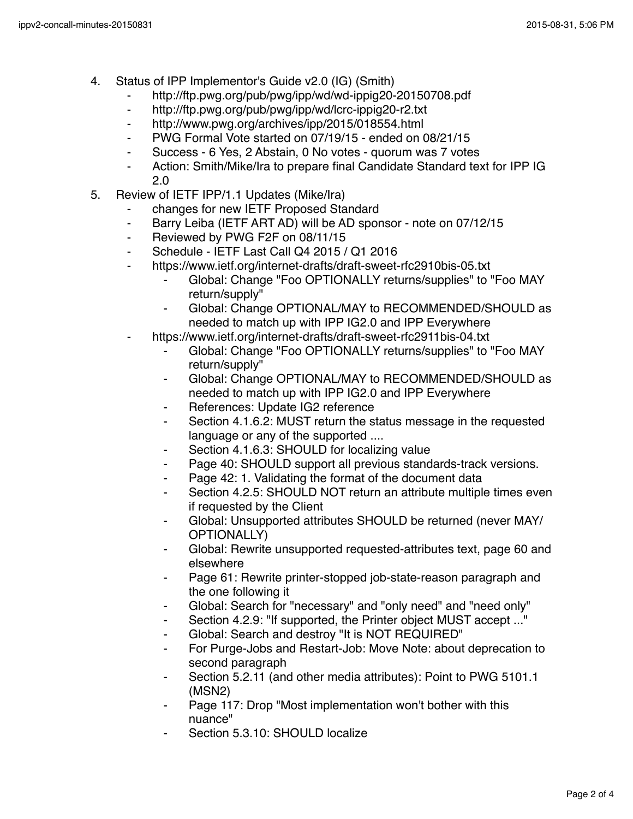- 4. Status of IPP Implementor's Guide v2.0 (IG) (Smith)
	- ⁃ http://ftp.pwg.org/pub/pwg/ipp/wd/wd-ippig20-20150708.pdf
	- ⁃ http://ftp.pwg.org/pub/pwg/ipp/wd/lcrc-ippig20-r2.txt
	- ⁃ http://www.pwg.org/archives/ipp/2015/018554.html
	- ⁃ PWG Formal Vote started on 07/19/15 ended on 08/21/15
	- Success 6 Yes, 2 Abstain, 0 No votes quorum was 7 votes
	- ⁃ Action: Smith/Mike/Ira to prepare final Candidate Standard text for IPP IG 2.0
- 5. Review of IETF IPP/1.1 Updates (Mike/Ira)
	- changes for new IETF Proposed Standard
	- ⁃ Barry Leiba (IETF ART AD) will be AD sponsor note on 07/12/15
	- ⁃ Reviewed by PWG F2F on 08/11/15
	- ⁃ Schedule IETF Last Call Q4 2015 / Q1 2016
	- https://www.ietf.org/internet-drafts/draft-sweet-rfc2910bis-05.txt
		- Global: Change "Foo OPTIONALLY returns/supplies" to "Foo MAY return/supply"
		- ⁃ Global: Change OPTIONAL/MAY to RECOMMENDED/SHOULD as needed to match up with IPP IG2.0 and IPP Everywhere
	- https://www.ietf.org/internet-drafts/draft-sweet-rfc2911bis-04.txt
		- ⁃ Global: Change "Foo OPTIONALLY returns/supplies" to "Foo MAY return/supply"
		- ⁃ Global: Change OPTIONAL/MAY to RECOMMENDED/SHOULD as needed to match up with IPP IG2.0 and IPP Everywhere
		- References: Update IG2 reference
		- ⁃ Section 4.1.6.2: MUST return the status message in the requested language or any of the supported ....
		- Section 4.1.6.3: SHOULD for localizing value
		- Page 40: SHOULD support all previous standards-track versions.
		- Page 42: 1. Validating the format of the document data
		- Section 4.2.5: SHOULD NOT return an attribute multiple times even if requested by the Client
		- Global: Unsupported attributes SHOULD be returned (never MAY/ OPTIONALLY)
		- Global: Rewrite unsupported requested-attributes text, page 60 and elsewhere
		- Page 61: Rewrite printer-stopped job-state-reason paragraph and the one following it
		- ⁃ Global: Search for "necessary" and "only need" and "need only"
		- Section 4.2.9: "If supported, the Printer object MUST accept ..."
		- Global: Search and destroy "It is NOT REQUIRED"
		- For Purge-Jobs and Restart-Job: Move Note: about deprecation to second paragraph
		- Section 5.2.11 (and other media attributes): Point to PWG 5101.1 (MSN2)
		- Page 117: Drop "Most implementation won't bother with this nuance"
		- Section 5.3.10: SHOULD localize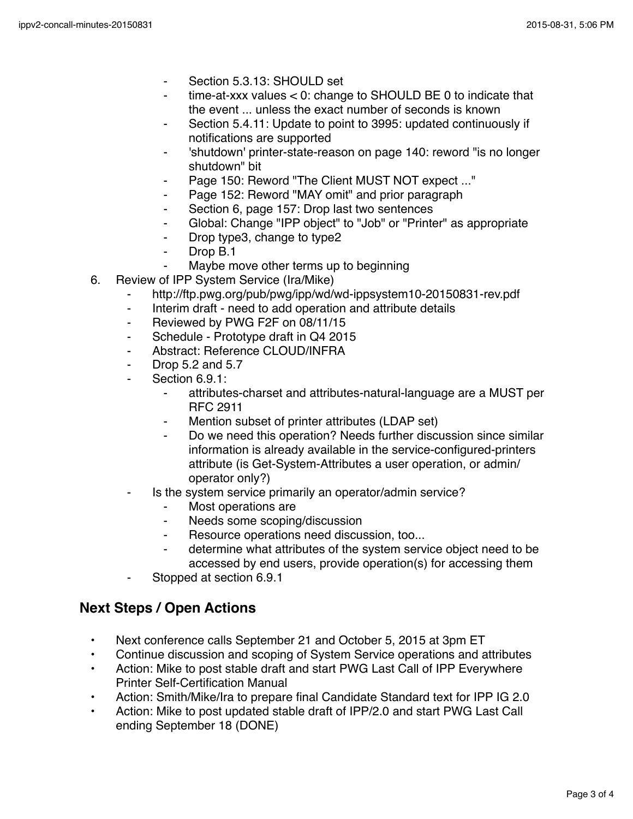- Section 5.3.13: SHOULD set
- time-at-xxx values  $< 0$ : change to SHOULD BE 0 to indicate that the event ... unless the exact number of seconds is known
- Section 5.4.11: Update to point to 3995: updated continuously if notifications are supported
- 'shutdown' printer-state-reason on page 140: reword "is no longer shutdown" bit
- Page 150: Reword "The Client MUST NOT expect ..."
- Page 152: Reword "MAY omit" and prior paragraph
- ⁃ Section 6, page 157: Drop last two sentences
- ⁃ Global: Change "IPP object" to "Job" or "Printer" as appropriate
- ⁃ Drop type3, change to type2
- Drop B.1
- Maybe move other terms up to beginning
- 6. Review of IPP System Service (Ira/Mike)
	- http://ftp.pwg.org/pub/pwg/ipp/wd/wd-ippsystem10-20150831-rev.pdf
	- ⁃ Interim draft need to add operation and attribute details
	- ⁃ Reviewed by PWG F2F on 08/11/15
	- Schedule Prototype draft in Q4 2015
	- ⁃ Abstract: Reference CLOUD/INFRA
	- ⁃ Drop 5.2 and 5.7
	- Section 6.9.1:
		- ⁃ attributes-charset and attributes-natural-language are a MUST per RFC 2911
		- Mention subset of printer attributes (LDAP set)
		- Do we need this operation? Needs further discussion since similar information is already available in the service-configured-printers attribute (is Get-System-Attributes a user operation, or admin/ operator only?)
	- Is the system service primarily an operator/admin service?
		- ⁃ Most operations are
		- ⁃ Needs some scoping/discussion
		- Resource operations need discussion, too...
		- ⁃ determine what attributes of the system service object need to be accessed by end users, provide operation(s) for accessing them
	- Stopped at section 6.9.1

## **Next Steps / Open Actions**

- Next conference calls September 21 and October 5, 2015 at 3pm ET
- Continue discussion and scoping of System Service operations and attributes
- Action: Mike to post stable draft and start PWG Last Call of IPP Everywhere Printer Self-Certification Manual
- Action: Smith/Mike/Ira to prepare final Candidate Standard text for IPP IG 2.0
- Action: Mike to post updated stable draft of IPP/2.0 and start PWG Last Call ending September 18 (DONE)